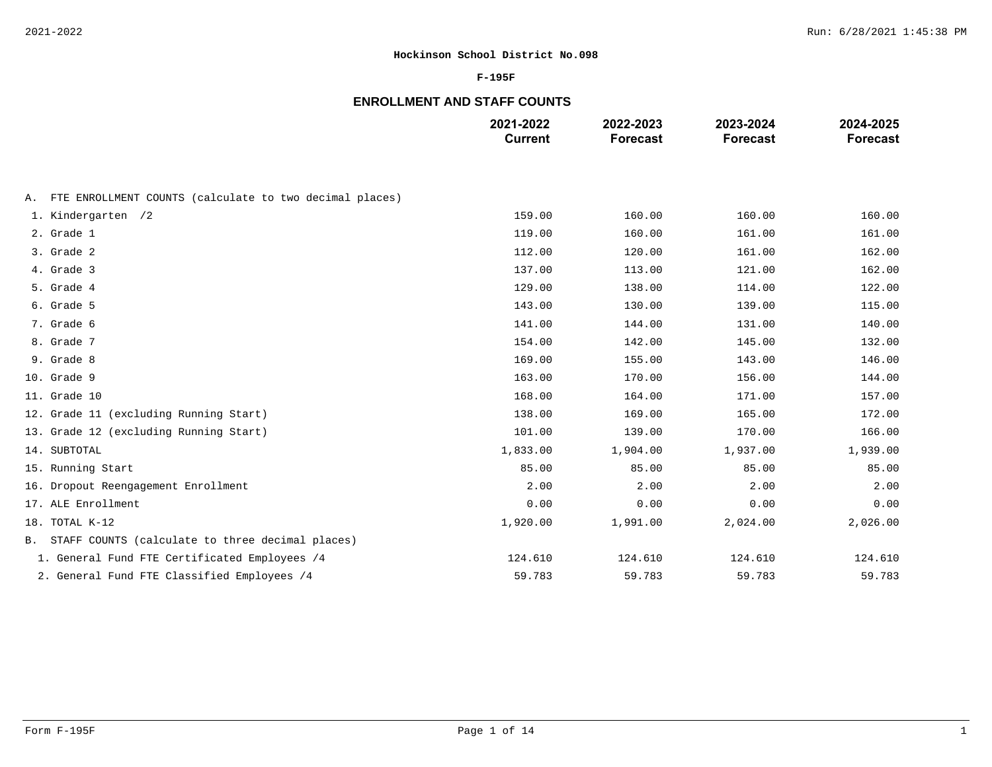### **F-195F**

# **ENROLLMENT AND STAFF COUNTS**

|                                                               | 2021-2022<br><b>Current</b> | 2022-2023<br><b>Forecast</b> | 2023-2024<br><b>Forecast</b> | 2024-2025<br><b>Forecast</b> |
|---------------------------------------------------------------|-----------------------------|------------------------------|------------------------------|------------------------------|
|                                                               |                             |                              |                              |                              |
| FTE ENROLLMENT COUNTS (calculate to two decimal places)<br>Α. |                             |                              |                              |                              |
| 1. Kindergarten /2                                            | 159.00                      | 160.00                       | 160.00                       | 160.00                       |
| 2. Grade 1                                                    | 119.00                      | 160.00                       | 161.00                       | 161.00                       |
| 3. Grade 2                                                    | 112.00                      | 120.00                       | 161.00                       | 162.00                       |
| 4. Grade 3                                                    | 137.00                      | 113.00                       | 121.00                       | 162.00                       |
| 5. Grade 4                                                    | 129.00                      | 138.00                       | 114.00                       | 122.00                       |
| 6. Grade 5                                                    | 143.00                      | 130.00                       | 139.00                       | 115.00                       |
| 7. Grade 6                                                    | 141.00                      | 144.00                       | 131.00                       | 140.00                       |
| 8. Grade 7                                                    | 154.00                      | 142.00                       | 145.00                       | 132.00                       |
| 9. Grade 8                                                    | 169.00                      | 155.00                       | 143.00                       | 146.00                       |
| 10. Grade 9                                                   | 163.00                      | 170.00                       | 156.00                       | 144.00                       |
| 11. Grade 10                                                  | 168.00                      | 164.00                       | 171.00                       | 157.00                       |
| 12. Grade 11 (excluding Running Start)                        | 138.00                      | 169.00                       | 165.00                       | 172.00                       |
| 13. Grade 12 (excluding Running Start)                        | 101.00                      | 139.00                       | 170.00                       | 166.00                       |
| 14. SUBTOTAL                                                  | 1,833.00                    | 1,904.00                     | 1,937.00                     | 1,939.00                     |
| 15. Running Start                                             | 85.00                       | 85.00                        | 85.00                        | 85.00                        |
| 16. Dropout Reengagement Enrollment                           | 2.00                        | 2.00                         | 2.00                         | 2.00                         |
| 17. ALE Enrollment                                            | 0.00                        | 0.00                         | 0.00                         | 0.00                         |
| 18. TOTAL K-12                                                | 1,920.00                    | 1,991.00                     | 2,024.00                     | 2,026.00                     |
| B. STAFF COUNTS (calculate to three decimal places)           |                             |                              |                              |                              |
| 1. General Fund FTE Certificated Employees /4                 | 124.610                     | 124.610                      | 124.610                      | 124.610                      |
| 2. General Fund FTE Classified Employees /4                   | 59.783                      | 59.783                       | 59.783                       | 59.783                       |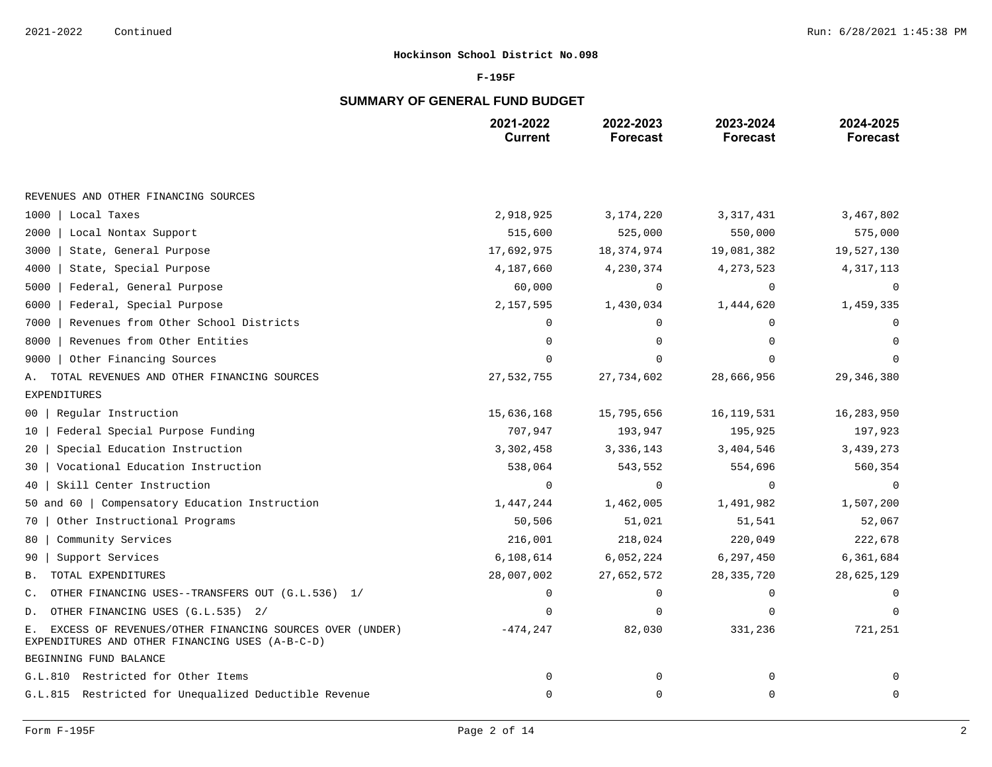### **F-195F**

# **SUMMARY OF GENERAL FUND BUDGET**

|                                                                                                                  | 2021-2022<br><b>Current</b> | 2022-2023<br><b>Forecast</b> | 2023-2024<br><b>Forecast</b> | 2024-2025<br><b>Forecast</b> |
|------------------------------------------------------------------------------------------------------------------|-----------------------------|------------------------------|------------------------------|------------------------------|
|                                                                                                                  |                             |                              |                              |                              |
| REVENUES AND OTHER FINANCING SOURCES                                                                             |                             |                              |                              |                              |
| 1000   Local Taxes                                                                                               | 2,918,925                   | 3,174,220                    | 3, 317, 431                  | 3,467,802                    |
| 2000<br>Local Nontax Support                                                                                     | 515,600                     | 525,000                      | 550,000                      | 575,000                      |
| 3000<br>State, General Purpose                                                                                   | 17,692,975                  | 18,374,974                   | 19,081,382                   | 19,527,130                   |
| 4000<br>State, Special Purpose                                                                                   | 4,187,660                   | 4,230,374                    | 4, 273, 523                  | 4,317,113                    |
| 5000<br>Federal, General Purpose                                                                                 | 60,000                      | 0                            | $\Omega$                     | $\Omega$                     |
| Federal, Special Purpose<br>6000                                                                                 | 2,157,595                   | 1,430,034                    | 1,444,620                    | 1,459,335                    |
| Revenues from Other School Districts<br>7000                                                                     | $\Omega$                    | 0                            | $\Omega$                     |                              |
| Revenues from Other Entities<br>8000                                                                             | $\Omega$                    | $\Omega$                     |                              |                              |
| 9000<br>Other Financing Sources                                                                                  |                             | $\Omega$                     |                              |                              |
| TOTAL REVENUES AND OTHER FINANCING SOURCES<br>Α.                                                                 | 27,532,755                  | 27,734,602                   | 28,666,956                   | 29, 346, 380                 |
| <b>EXPENDITURES</b>                                                                                              |                             |                              |                              |                              |
| Regular Instruction<br>00                                                                                        | 15,636,168                  | 15,795,656                   | 16, 119, 531                 | 16,283,950                   |
| Federal Special Purpose Funding<br>10                                                                            | 707,947                     | 193,947                      | 195,925                      | 197,923                      |
| Special Education Instruction<br>20                                                                              | 3,302,458                   | 3,336,143                    | 3,404,546                    | 3,439,273                    |
| Vocational Education Instruction<br>30                                                                           | 538,064                     | 543,552                      | 554,696                      | 560,354                      |
| Skill Center Instruction<br>40                                                                                   | $\Omega$                    | $\mathbf 0$                  | $\Omega$                     | $\Omega$                     |
| 50 and 60   Compensatory Education Instruction                                                                   | 1,447,244                   | 1,462,005                    | 1,491,982                    | 1,507,200                    |
| Other Instructional Programs<br>70                                                                               | 50,506                      | 51,021                       | 51,541                       | 52,067                       |
| Community Services<br>80                                                                                         | 216,001                     | 218,024                      | 220,049                      | 222,678                      |
| Support Services<br>90                                                                                           | 6,108,614                   | 6,052,224                    | 6,297,450                    | 6,361,684                    |
| TOTAL EXPENDITURES<br>Β.                                                                                         | 28,007,002                  | 27,652,572                   | 28, 335, 720                 | 28,625,129                   |
| OTHER FINANCING USES--TRANSFERS OUT (G.L.536) 1/<br>С.                                                           | $\Omega$                    | 0                            | $\Omega$                     | ∩                            |
| OTHER FINANCING USES (G.L.535) 2/<br>D.                                                                          | $\Omega$                    | $\Omega$                     |                              | $\Omega$                     |
| EXCESS OF REVENUES/OTHER FINANCING SOURCES OVER (UNDER)<br>Ε.<br>EXPENDITURES AND OTHER FINANCING USES (A-B-C-D) | $-474, 247$                 | 82,030                       | 331,236                      | 721,251                      |
| BEGINNING FUND BALANCE                                                                                           |                             |                              |                              |                              |
| G.L.810 Restricted for Other Items                                                                               | $\mathbf 0$                 | 0                            | $\mathbf 0$                  |                              |
| G.L.815 Restricted for Unequalized Deductible Revenue                                                            | 0                           | 0                            | $\mathbf 0$                  | $\mathbf 0$                  |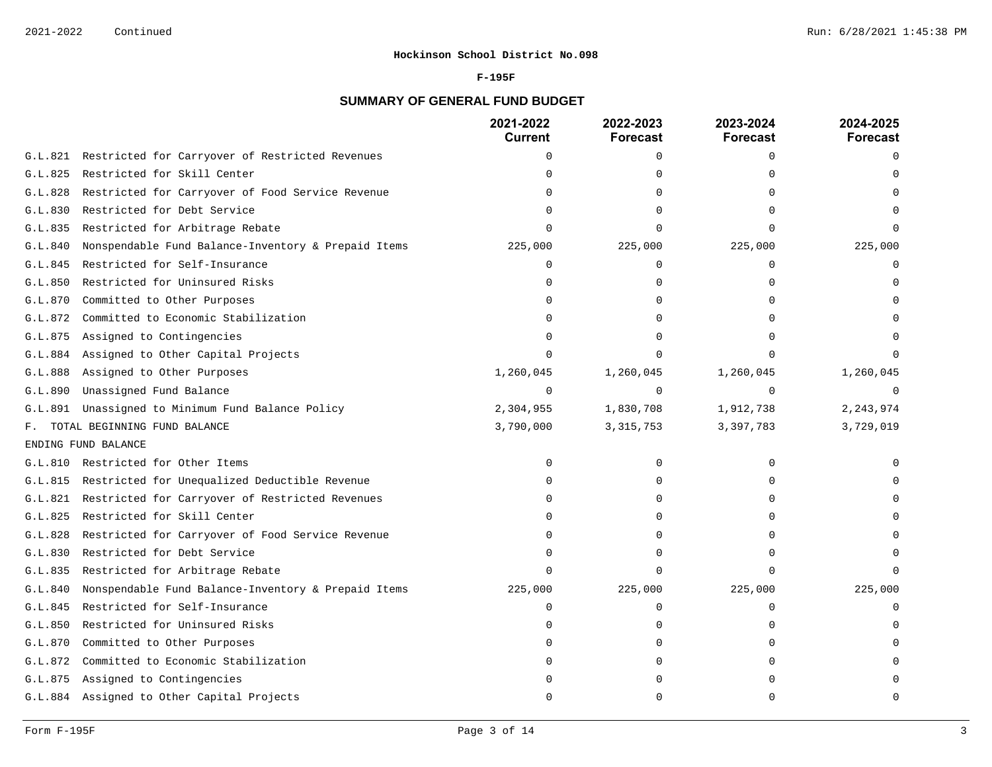#### **F-195F**

# **SUMMARY OF GENERAL FUND BUDGET**

|         |                                                         | 2021-2022<br><b>Current</b> | 2022-2023<br>Forecast | 2023-2024<br><b>Forecast</b> | 2024-2025<br><b>Forecast</b> |
|---------|---------------------------------------------------------|-----------------------------|-----------------------|------------------------------|------------------------------|
|         | G.L.821 Restricted for Carryover of Restricted Revenues | $\mathbf 0$                 | 0                     | $\Omega$                     | $\Omega$                     |
| G.L.825 | Restricted for Skill Center                             | $\Omega$                    | ∩                     |                              |                              |
| G.L.828 | Restricted for Carryover of Food Service Revenue        | $\Omega$                    | $\Omega$              |                              |                              |
| G.L.830 | Restricted for Debt Service                             | $\Omega$                    | $\Omega$              |                              |                              |
| G.L.835 | Restricted for Arbitrage Rebate                         | $\cap$                      | $\Omega$              | $\cap$                       |                              |
| G.L.840 | Nonspendable Fund Balance-Inventory & Prepaid Items     | 225,000                     | 225,000               | 225,000                      | 225,000                      |
| G.L.845 | Restricted for Self-Insurance                           | $\Omega$                    | 0                     | $\Omega$                     | $\Omega$                     |
| G.L.850 | Restricted for Uninsured Risks                          | U                           | ∩                     |                              |                              |
| G.L.870 | Committed to Other Purposes                             | U                           | $\Omega$              |                              |                              |
| G.L.872 | Committed to Economic Stabilization                     |                             | $\Omega$              |                              |                              |
| G.L.875 | Assigned to Contingencies                               | U                           | $\Omega$              |                              |                              |
| G.L.884 | Assigned to Other Capital Projects                      | $\Omega$                    | ∩                     |                              |                              |
| G.L.888 | Assigned to Other Purposes                              | 1,260,045                   | 1,260,045             | 1,260,045                    | 1,260,045                    |
| G.L.890 | Unassigned Fund Balance                                 | $\mathbf 0$                 | $\mathbf 0$           | $\Omega$                     | $\Omega$                     |
| G.L.891 | Unassigned to Minimum Fund Balance Policy               | 2,304,955                   | 1,830,708             | 1,912,738                    | 2, 243, 974                  |
| F.      | TOTAL BEGINNING FUND BALANCE                            | 3,790,000                   | 3, 315, 753           | 3,397,783                    | 3,729,019                    |
|         | ENDING FUND BALANCE                                     |                             |                       |                              |                              |
|         | G.L.810 Restricted for Other Items                      | $\Omega$                    | 0                     | $\Omega$                     |                              |
|         | G.L.815 Restricted for Unequalized Deductible Revenue   | $\Omega$                    | $\Omega$              |                              |                              |
|         | G.L.821 Restricted for Carryover of Restricted Revenues | U                           | $\Omega$              |                              |                              |
| G.L.825 | Restricted for Skill Center                             | U                           | 0                     |                              |                              |
| G.L.828 | Restricted for Carryover of Food Service Revenue        | $\Omega$                    | $\Omega$              |                              |                              |
| G.L.830 | Restricted for Debt Service                             |                             | $\Omega$              |                              |                              |
| G.L.835 | Restricted for Arbitrage Rebate                         |                             | $\Omega$              |                              |                              |
| G.L.840 | Nonspendable Fund Balance-Inventory & Prepaid Items     | 225,000                     | 225,000               | 225,000                      | 225,000                      |
| G.L.845 | Restricted for Self-Insurance                           | $\Omega$                    | 0                     | $\Omega$                     | $\mathbf 0$                  |
| G.L.850 | Restricted for Uninsured Risks                          |                             | $\Omega$              | ∩                            |                              |
| G.L.870 | Committed to Other Purposes                             |                             | 0                     | $\Omega$                     |                              |
| G.L.872 | Committed to Economic Stabilization                     |                             | 0                     | $\Omega$                     |                              |
| G.L.875 | Assigned to Contingencies                               |                             | ∩                     |                              |                              |
|         | G.L.884 Assigned to Other Capital Projects              | U                           | $\Omega$              | n                            | $\cap$                       |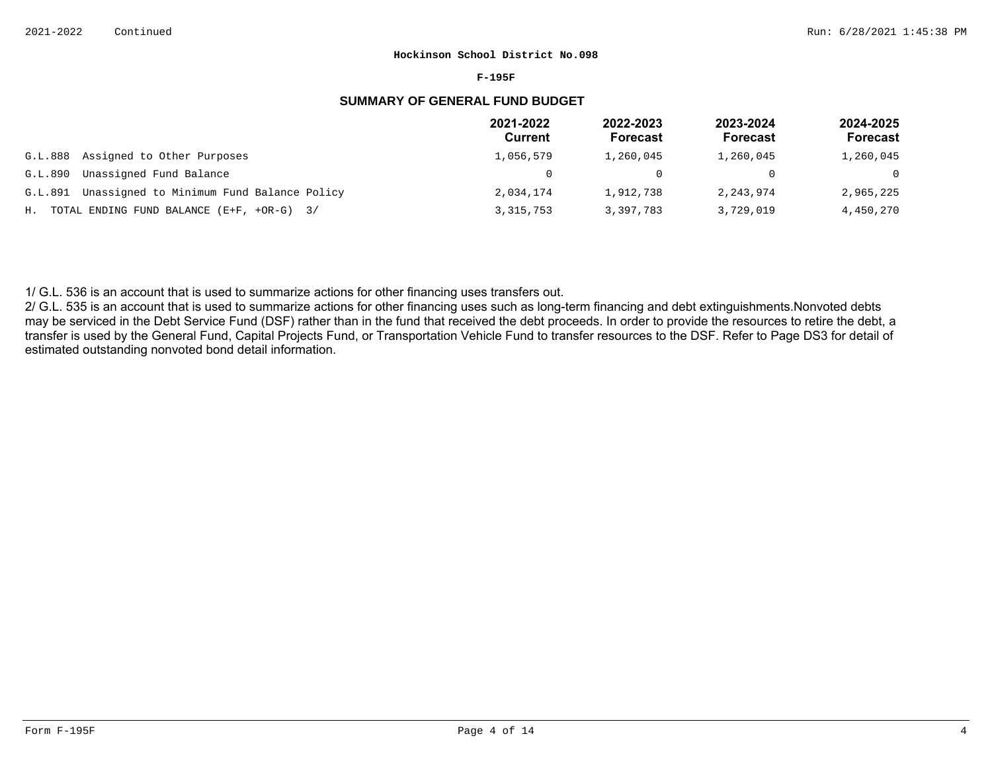#### **F-195F**

# **SUMMARY OF GENERAL FUND BUDGET**

|         |                                                | 2021-2022<br>Current | 2022-2023<br><b>Forecast</b> | 2023-2024<br><b>Forecast</b> | 2024-2025<br>Forecast |
|---------|------------------------------------------------|----------------------|------------------------------|------------------------------|-----------------------|
| G.L.888 | Assigned to Other Purposes                     | 1,056,579            | 1,260,045                    | 1,260,045                    | 1,260,045             |
| G.L.890 | Unassigned Fund Balance                        |                      |                              |                              | $\Omega$              |
| G.L.891 | Unassigned to Minimum Fund Balance Policy      | 2,034,174            | 1,912,738                    | 2,243,974                    | 2,965,225             |
|         | H. TOTAL ENDING FUND BALANCE $(E+F, +OR-G)$ 3/ | 3, 315, 753          | 3,397,783                    | 3,729,019                    | 4,450,270             |

1/ G.L. 536 is an account that is used to summarize actions for other financing uses transfers out.

2/ G.L. 535 is an account that is used to summarize actions for other financing uses such as long-term financing and debt extinguishments. Nonvoted debts may be serviced in the Debt Service Fund (DSF) rather than in the fund that received the debt proceeds. In order to provide the resources to retire the debt, a transfer is used by the General Fund, Capital Projects Fund, or Transportation Vehicle Fund to transfer resources to the DSF. Refer to Page DS3 for detail of estimated outstanding nonvoted bond detail information.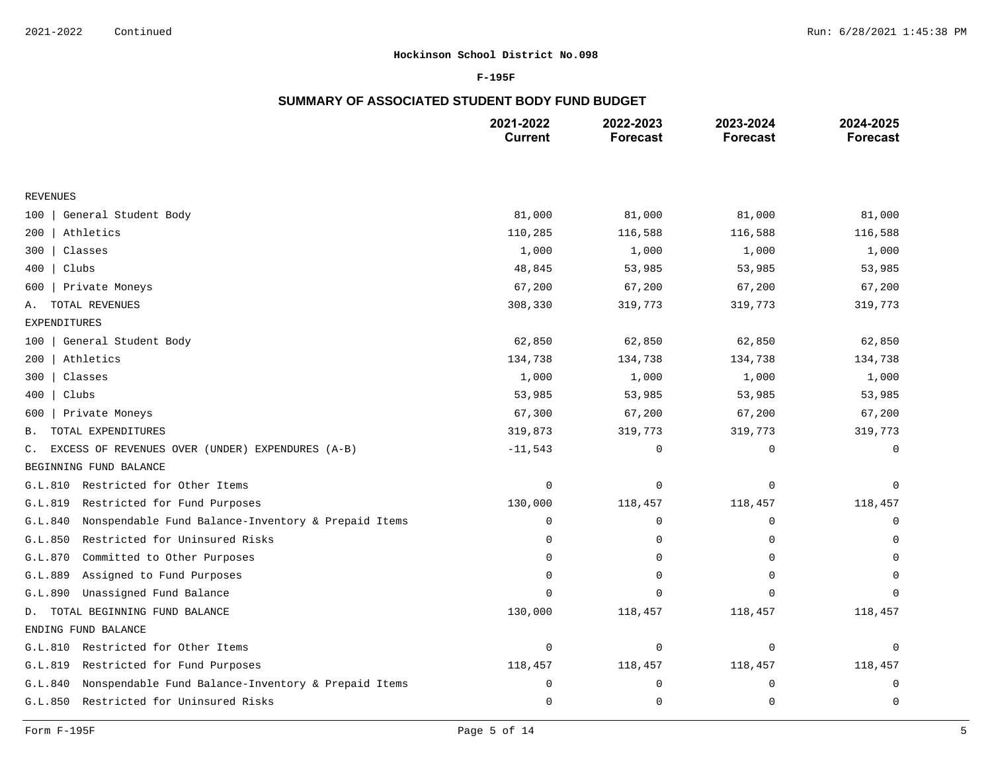### **F-195F**

# **SUMMARY OF ASSOCIATED STUDENT BODY FUND BUDGET**

|                                                                    | 2021-2022<br><b>Current</b> | 2022-2023<br><b>Forecast</b> | 2023-2024<br><b>Forecast</b> | 2024-2025<br><b>Forecast</b> |
|--------------------------------------------------------------------|-----------------------------|------------------------------|------------------------------|------------------------------|
|                                                                    |                             |                              |                              |                              |
| <b>REVENUES</b>                                                    |                             |                              |                              |                              |
| General Student Body<br>100                                        | 81,000                      | 81,000                       | 81,000                       | 81,000                       |
| Athletics<br>200                                                   | 110,285                     | 116,588                      | 116,588                      | 116,588                      |
| 300<br>Classes                                                     | 1,000                       | 1,000                        | 1,000                        | 1,000                        |
| Clubs<br>400                                                       | 48,845                      | 53,985                       | 53,985                       | 53,985                       |
| Private Moneys<br>600                                              | 67,200                      | 67,200                       | 67,200                       | 67,200                       |
| TOTAL REVENUES<br>Α.                                               | 308,330                     | 319,773                      | 319,773                      | 319,773                      |
| EXPENDITURES                                                       |                             |                              |                              |                              |
| General Student Body<br>100                                        | 62,850                      | 62,850                       | 62,850                       | 62,850                       |
| 200<br>Athletics                                                   | 134,738                     | 134,738                      | 134,738                      | 134,738                      |
| Classes<br>300                                                     | 1,000                       | 1,000                        | 1,000                        | 1,000                        |
| 400<br>Clubs                                                       | 53,985                      | 53,985                       | 53,985                       | 53,985                       |
| Private Moneys<br>600                                              | 67,300                      | 67,200                       | 67,200                       | 67,200                       |
| TOTAL EXPENDITURES<br>В.                                           | 319,873                     | 319,773                      | 319,773                      | 319,773                      |
| EXCESS OF REVENUES OVER (UNDER) EXPENDURES (A-B)<br>$\mathsf{C}$ . | $-11,543$                   | 0                            | $\mathbf 0$                  | 0                            |
| BEGINNING FUND BALANCE                                             |                             |                              |                              |                              |
| Restricted for Other Items<br>G.L.810                              | $\mathbf 0$                 | 0                            | $\mathbf 0$                  | $\Omega$                     |
| G.L.819<br>Restricted for Fund Purposes                            | 130,000                     | 118,457                      | 118,457                      | 118,457                      |
| G.L.840<br>Nonspendable Fund Balance-Inventory & Prepaid Items     | 0                           | 0                            | 0                            | $\mathbf 0$                  |
| Restricted for Uninsured Risks<br>G.L.850                          | $\Omega$                    | 0                            | $\mathbf 0$                  | $\mathbf 0$                  |
| G.L.870<br>Committed to Other Purposes                             | $\mathbf 0$                 | $\mathbf 0$                  | 0                            | $\Omega$                     |
| Assigned to Fund Purposes<br>G.L.889                               | $\Omega$                    | $\mathbf 0$                  | $\Omega$                     |                              |
| G.L.890<br>Unassigned Fund Balance                                 | $\Omega$                    | $\mathbf 0$                  | $\mathbf 0$                  | $\Omega$                     |
| D. TOTAL BEGINNING FUND BALANCE                                    | 130,000                     | 118,457                      | 118,457                      | 118,457                      |
| ENDING FUND BALANCE                                                |                             |                              |                              |                              |
| Restricted for Other Items<br>G.L.810                              | $\mathbf 0$                 | 0                            | 0                            | 0                            |
| Restricted for Fund Purposes<br>G.L.819                            | 118,457                     | 118,457                      | 118,457                      | 118,457                      |
| Nonspendable Fund Balance-Inventory & Prepaid Items<br>G.L.840     | $\mathbf 0$                 | $\mathbf 0$                  | 0                            | 0                            |
| G.L.850<br>Restricted for Uninsured Risks                          | $\mathbf 0$                 | $\mathbf 0$                  | $\mathbf 0$                  | 0                            |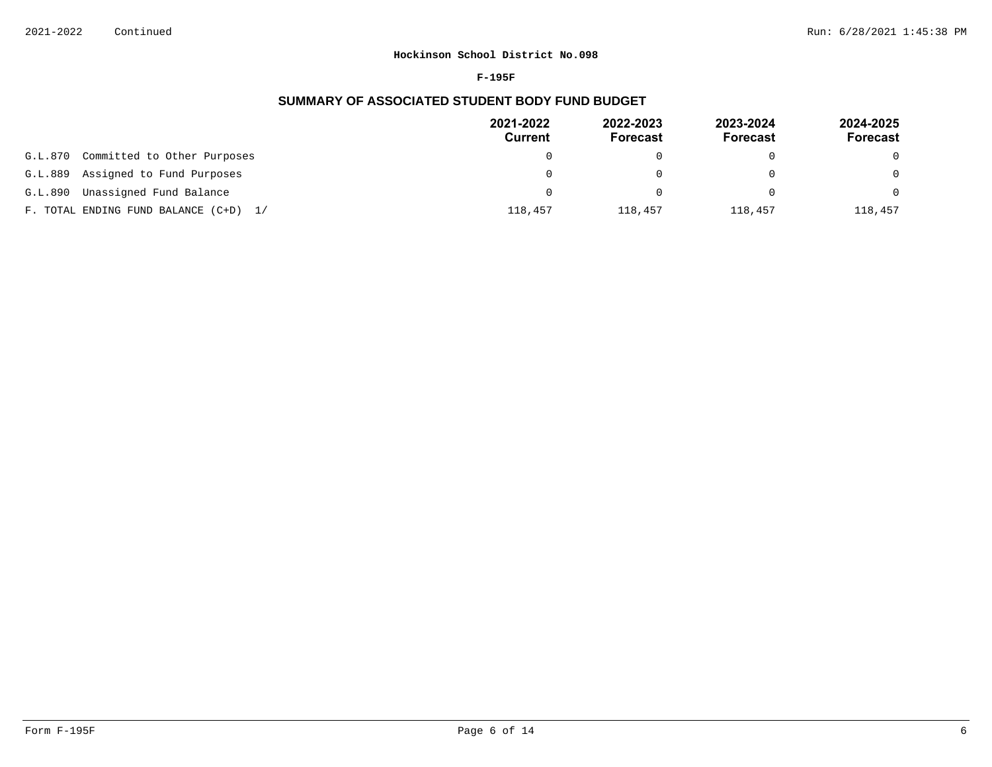#### **F-195F**

# **SUMMARY OF ASSOCIATED STUDENT BODY FUND BUDGET**

|                                        | 2021-2022<br>Current | 2022-2023<br><b>Forecast</b> | 2023-2024<br><b>Forecast</b> | 2024-2025<br><b>Forecast</b> |
|----------------------------------------|----------------------|------------------------------|------------------------------|------------------------------|
| Committed to Other Purposes<br>G.L.870 | $\Omega$             |                              |                              | $\Omega$                     |
| Assigned to Fund Purposes<br>G.L.889   | $\Omega$             |                              |                              | $\Omega$                     |
| Unassigned Fund Balance<br>G.L.890     | $\Omega$             |                              |                              | $\Omega$                     |
| F. TOTAL ENDING FUND BALANCE (C+D) 1/  | 118,457              | 118,457                      | 118,457                      | 118,457                      |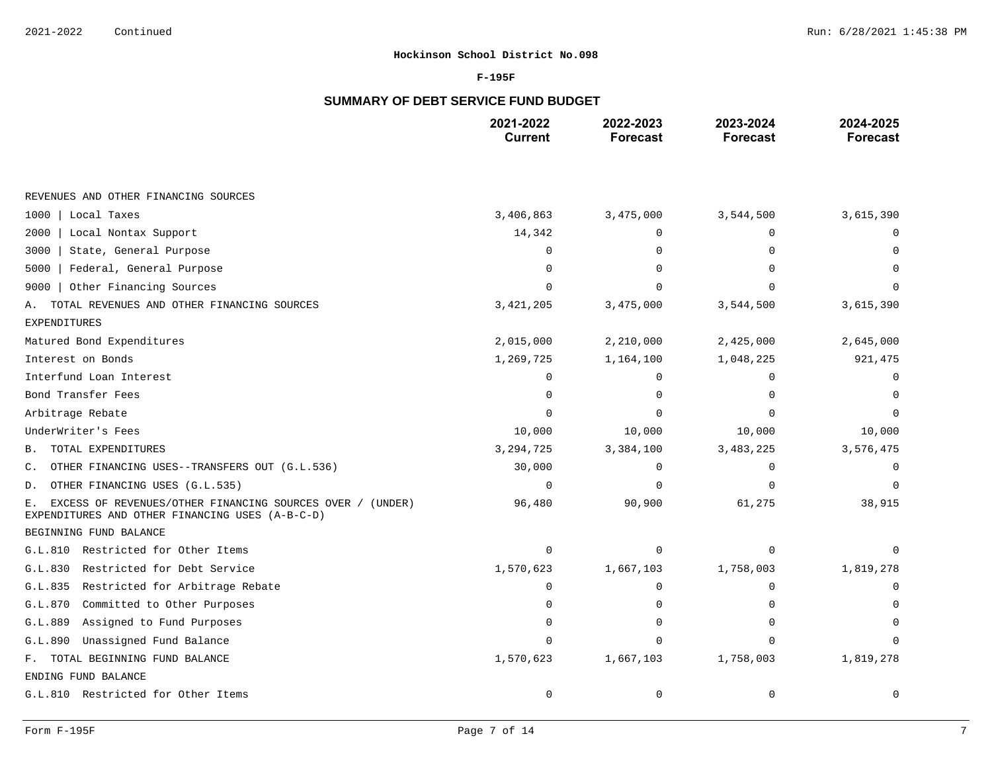### **F-195F**

# **SUMMARY OF DEBT SERVICE FUND BUDGET**

|                                                                                                                    | 2021-2022<br><b>Current</b> | 2022-2023<br><b>Forecast</b> | 2023-2024<br><b>Forecast</b> | 2024-2025<br><b>Forecast</b> |
|--------------------------------------------------------------------------------------------------------------------|-----------------------------|------------------------------|------------------------------|------------------------------|
|                                                                                                                    |                             |                              |                              |                              |
| REVENUES AND OTHER FINANCING SOURCES                                                                               |                             |                              |                              |                              |
| Local Taxes<br>1000                                                                                                | 3,406,863                   | 3,475,000                    | 3,544,500                    | 3,615,390                    |
| Local Nontax Support<br>2000                                                                                       | 14,342                      | $\Omega$                     | $\Omega$                     |                              |
| State, General Purpose<br>3000                                                                                     | $\Omega$                    | O                            |                              |                              |
| Federal, General Purpose<br>5000                                                                                   | $\cap$                      |                              |                              |                              |
| Other Financing Sources<br>9000                                                                                    | $\Omega$                    | $\Omega$                     |                              |                              |
| TOTAL REVENUES AND OTHER FINANCING SOURCES<br>Α.                                                                   | 3, 421, 205                 | 3,475,000                    | 3,544,500                    | 3,615,390                    |
| <b>EXPENDITURES</b>                                                                                                |                             |                              |                              |                              |
| Matured Bond Expenditures                                                                                          | 2,015,000                   | 2,210,000                    | 2,425,000                    | 2,645,000                    |
| Interest on Bonds                                                                                                  | 1,269,725                   | 1,164,100                    | 1,048,225                    | 921,475                      |
| Interfund Loan Interest                                                                                            | $\Omega$                    | O                            |                              |                              |
| Bond Transfer Fees                                                                                                 | $\Omega$                    | O                            |                              | <sup>0</sup>                 |
| Arbitrage Rebate                                                                                                   |                             | $\cap$                       |                              |                              |
| UnderWriter's Fees                                                                                                 | 10,000                      | 10,000                       | 10,000                       | 10,000                       |
| TOTAL EXPENDITURES<br>В.                                                                                           | 3, 294, 725                 | 3,384,100                    | 3, 483, 225                  | 3,576,475                    |
| OTHER FINANCING USES--TRANSFERS OUT (G.L.536)<br>С.                                                                | 30,000                      | 0                            | $\Omega$                     |                              |
| OTHER FINANCING USES (G.L.535)<br>D.                                                                               | $\overline{0}$              | O                            |                              |                              |
| EXCESS OF REVENUES/OTHER FINANCING SOURCES OVER / (UNDER)<br>Ε.<br>EXPENDITURES AND OTHER FINANCING USES (A-B-C-D) | 96,480                      | 90,900                       | 61,275                       | 38,915                       |
| BEGINNING FUND BALANCE                                                                                             |                             |                              |                              |                              |
| G.L.810 Restricted for Other Items                                                                                 | $\Omega$                    | O                            |                              |                              |
| Restricted for Debt Service<br>G.L.830                                                                             | 1,570,623                   | 1,667,103                    | 1,758,003                    | 1,819,278                    |
| Restricted for Arbitrage Rebate<br>G.L.835                                                                         | $\Omega$                    | 0                            | $\Omega$                     | <sup>0</sup>                 |
| Committed to Other Purposes<br>G.L.870                                                                             | $\Omega$                    | 0                            |                              |                              |
| Assigned to Fund Purposes<br>G.L.889                                                                               | $\cap$                      | 0                            |                              |                              |
| Unassigned Fund Balance<br>G.L.890                                                                                 | $\Omega$                    | 0                            |                              |                              |
| F. TOTAL BEGINNING FUND BALANCE                                                                                    | 1,570,623                   | 1,667,103                    | 1,758,003                    | 1,819,278                    |
| ENDING FUND BALANCE                                                                                                |                             |                              |                              |                              |
| G.L.810 Restricted for Other Items                                                                                 | $\mathbf 0$                 | 0                            | $\mathbf 0$                  | $\mathbf 0$                  |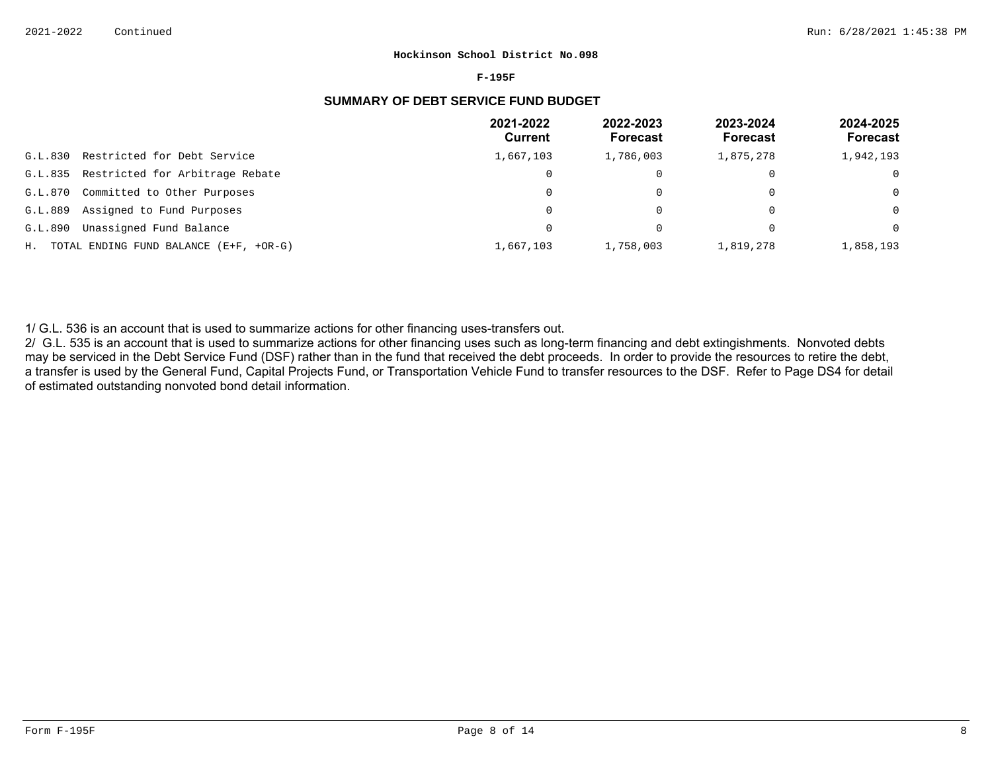#### **F-195F**

# **SUMMARY OF DEBT SERVICE FUND BUDGET**

|         |                                           | 2021-2022<br>Current | 2022-2023<br><b>Forecast</b> | 2023-2024<br>Forecast | 2024-2025<br><b>Forecast</b> |
|---------|-------------------------------------------|----------------------|------------------------------|-----------------------|------------------------------|
| G.L.830 | Restricted for Debt Service               | 1,667,103            | 1,786,003                    | 1,875,278             | 1,942,193                    |
| G.L.835 | Restricted for Arbitrage Rebate           | $\Omega$             |                              | $\Omega$              | 0                            |
| G.L.870 | Committed to Other Purposes               | 0                    |                              | $\Omega$              | $\Omega$                     |
| G.L.889 | Assigned to Fund Purposes                 | 0                    | 0                            | $\overline{0}$        | $\Omega$                     |
| G.L.890 | Unassigned Fund Balance                   | $\Omega$             |                              |                       | $\Omega$                     |
|         | H. TOTAL ENDING FUND BALANCE (E+F, +OR-G) | 1,667,103            | 1,758,003                    | 1,819,278             | 1,858,193                    |

1/ G.L. 536 is an account that is used to summarize actions for other financing uses-transfers out.

2/ G.L. 535 is an account that is used to summarize actions for other financing uses such as long-term financing and debt extingishments. Nonvoted debts may be serviced in the Debt Service Fund (DSF) rather than in the fund that received the debt proceeds. In order to provide the resources to retire the debt, a transfer is used by the General Fund, Capital Projects Fund, or Transportation Vehicle Fund to transfer resources to the DSF. Refer to Page DS4 for detail of estimated outstanding nonvoted bond detail information.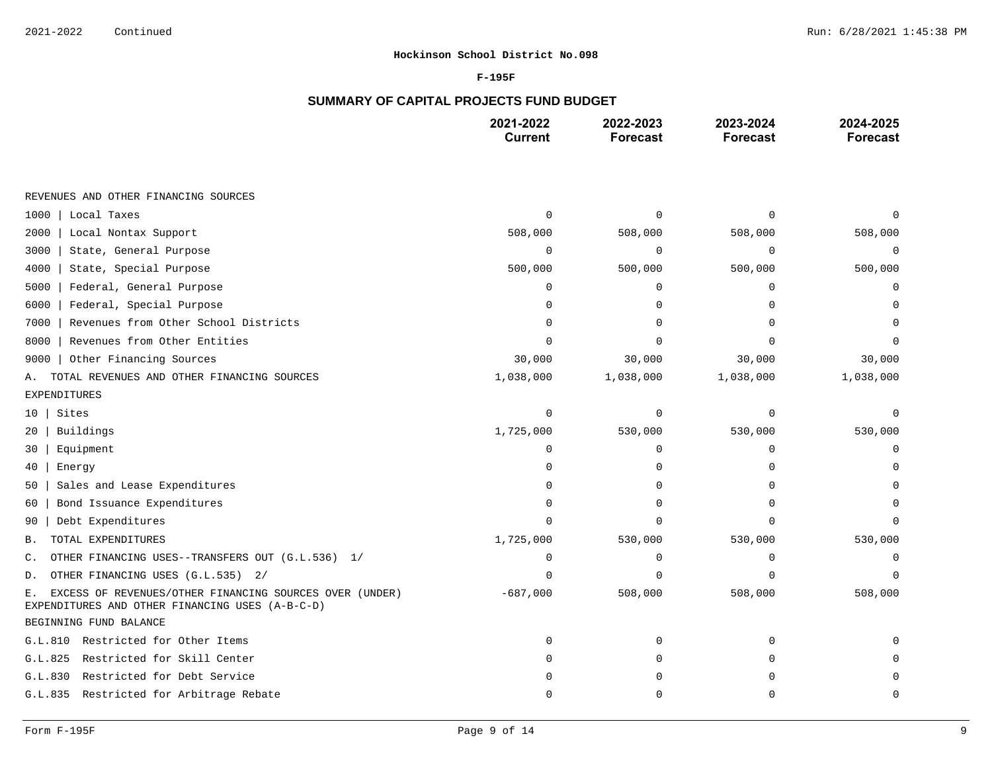### **F-195F**

# **SUMMARY OF CAPITAL PROJECTS FUND BUDGET**

|                                                                                                                  | 2021-2022<br><b>Current</b> | 2022-2023<br><b>Forecast</b> | 2023-2024<br><b>Forecast</b> | 2024-2025<br><b>Forecast</b> |
|------------------------------------------------------------------------------------------------------------------|-----------------------------|------------------------------|------------------------------|------------------------------|
|                                                                                                                  |                             |                              |                              |                              |
| REVENUES AND OTHER FINANCING SOURCES                                                                             |                             |                              |                              |                              |
| 1000<br>Local Taxes                                                                                              | $\cap$                      | U                            | $\Omega$                     |                              |
| 2000<br>Local Nontax Support                                                                                     | 508,000                     | 508,000                      | 508,000                      | 508,000                      |
| 3000<br>State, General Purpose                                                                                   | $\mathbf 0$                 | $\mathbf 0$                  | 0                            | $\Omega$                     |
| 4000<br>State, Special Purpose                                                                                   | 500,000                     | 500,000                      | 500,000                      | 500,000                      |
| Federal, General Purpose<br>5000                                                                                 | $\Omega$                    | $\Omega$                     | $\Omega$                     | 0                            |
| 6000<br>Federal, Special Purpose                                                                                 |                             |                              |                              |                              |
| Revenues from Other School Districts<br>7000                                                                     | n                           | 0                            | ∩                            |                              |
| Revenues from Other Entities<br>8000                                                                             |                             |                              |                              |                              |
| Other Financing Sources<br>9000                                                                                  | 30,000                      | 30,000                       | 30,000                       | 30,000                       |
| TOTAL REVENUES AND OTHER FINANCING SOURCES<br>Α.                                                                 | 1,038,000                   | 1,038,000                    | 1,038,000                    | 1,038,000                    |
| EXPENDITURES                                                                                                     |                             |                              |                              |                              |
| Sites<br>10                                                                                                      | $\Omega$                    | $\Omega$                     | $\Omega$                     | U                            |
| Buildings<br>20                                                                                                  | 1,725,000                   | 530,000                      | 530,000                      | 530,000                      |
| Equipment<br>30                                                                                                  | $\Omega$                    | $\Omega$                     | $\Omega$                     | O                            |
| 40<br>Energy                                                                                                     |                             | O                            | $\Omega$                     |                              |
| Sales and Lease Expenditures<br>50                                                                               |                             | U                            |                              |                              |
| Bond Issuance Expenditures<br>60                                                                                 | O                           | O                            | <sup>0</sup>                 |                              |
| Debt Expenditures<br>90                                                                                          | n                           |                              | ∩                            |                              |
| TOTAL EXPENDITURES<br>Β.                                                                                         | 1,725,000                   | 530,000                      | 530,000                      | 530,000                      |
| OTHER FINANCING USES--TRANSFERS OUT (G.L.536) 1/<br>$\mathsf{C}$ .                                               | $\mathbf 0$                 | 0                            | $\mathbf 0$                  | 0                            |
| OTHER FINANCING USES (G.L.535) 2/<br>D.                                                                          | n                           | 0                            | ∩                            |                              |
| EXCESS OF REVENUES/OTHER FINANCING SOURCES OVER (UNDER)<br>Ε.<br>EXPENDITURES AND OTHER FINANCING USES (A-B-C-D) | $-687,000$                  | 508,000                      | 508,000                      | 508,000                      |
| BEGINNING FUND BALANCE                                                                                           |                             |                              |                              |                              |
| G.L.810 Restricted for Other Items                                                                               | $\Omega$                    | 0                            | 0                            |                              |
| G.L.825<br>Restricted for Skill Center                                                                           | O                           | 0                            | 0                            |                              |
| Restricted for Debt Service<br>G.L.830                                                                           |                             | 0                            | $\Omega$                     |                              |
| G.L.835 Restricted for Arbitrage Rebate                                                                          | $\Omega$                    | 0                            | $\mathbf 0$                  | 0                            |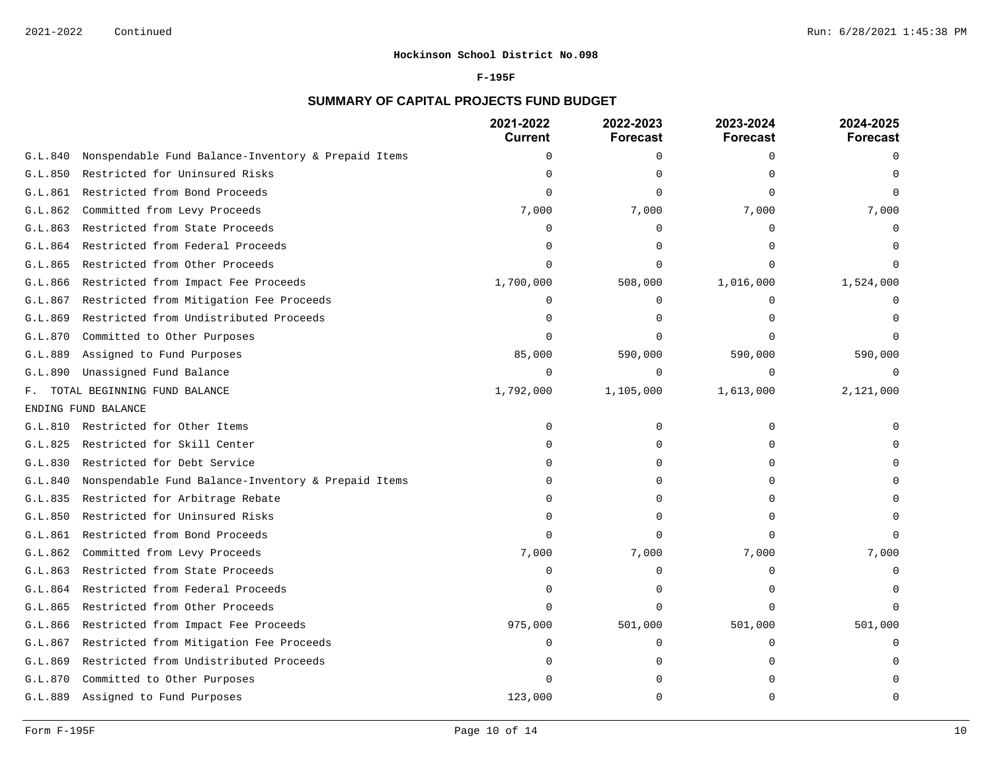### **F-195F**

# **SUMMARY OF CAPITAL PROJECTS FUND BUDGET**

|         |                                                     | 2021-2022<br><b>Current</b> | 2022-2023<br><b>Forecast</b> | 2023-2024<br><b>Forecast</b> | 2024-2025<br><b>Forecast</b> |
|---------|-----------------------------------------------------|-----------------------------|------------------------------|------------------------------|------------------------------|
| G.L.840 | Nonspendable Fund Balance-Inventory & Prepaid Items | $\mathbf 0$                 | 0                            | $\Omega$                     | $\Omega$                     |
| G.L.850 | Restricted for Uninsured Risks                      | $\Omega$                    | $\Omega$                     |                              |                              |
| G.L.861 | Restricted from Bond Proceeds                       | ∩                           | $\Omega$                     |                              |                              |
| G.L.862 | Committed from Levy Proceeds                        | 7,000                       | 7,000                        | 7,000                        | 7,000                        |
| G.L.863 | Restricted from State Proceeds                      | $\Omega$                    | $\Omega$                     | $\Omega$                     |                              |
| G.L.864 | Restricted from Federal Proceeds                    | n                           | ∩                            |                              |                              |
| G.L.865 | Restricted from Other Proceeds                      |                             | $\Omega$                     |                              |                              |
| G.L.866 | Restricted from Impact Fee Proceeds                 | 1,700,000                   | 508,000                      | 1,016,000                    | 1,524,000                    |
| G.L.867 | Restricted from Mitigation Fee Proceeds             | $\Omega$                    | $\Omega$                     |                              |                              |
| G.L.869 | Restricted from Undistributed Proceeds              | $\Omega$                    | $\Omega$                     |                              |                              |
| G.L.870 | Committed to Other Purposes                         | $\Omega$                    | $\Omega$                     |                              |                              |
| G.L.889 | Assigned to Fund Purposes                           | 85,000                      | 590,000                      | 590,000                      | 590,000                      |
| G.L.890 | Unassigned Fund Balance                             | $\Omega$                    | $\mathbf 0$                  | $\Omega$                     | $\Omega$                     |
| F.      | TOTAL BEGINNING FUND BALANCE                        | 1,792,000                   | 1,105,000                    | 1,613,000                    | 2,121,000                    |
|         | ENDING FUND BALANCE                                 |                             |                              |                              |                              |
| G.L.810 | Restricted for Other Items                          | $\Omega$                    | $\Omega$                     | $\Omega$                     |                              |
| G.L.825 | Restricted for Skill Center                         | $\Omega$                    | $\Omega$                     |                              |                              |
| G.L.830 | Restricted for Debt Service                         | $\Omega$                    | $\Omega$                     |                              |                              |
| G.L.840 | Nonspendable Fund Balance-Inventory & Prepaid Items | $\Omega$                    | $\Omega$                     |                              |                              |
| G.L.835 | Restricted for Arbitrage Rebate                     | ∩                           | $\Omega$                     |                              |                              |
| G.L.850 | Restricted for Uninsured Risks                      | n                           | $\Omega$                     |                              |                              |
| G.L.861 | Restricted from Bond Proceeds                       | $\cap$                      | $\Omega$                     |                              |                              |
| G.L.862 | Committed from Levy Proceeds                        | 7,000                       | 7,000                        | 7,000                        | 7,000                        |
| G.L.863 | Restricted from State Proceeds                      | $\Omega$                    | $\Omega$                     | $\Omega$                     |                              |
| G.L.864 | Restricted from Federal Proceeds                    | $\Omega$                    | $\Omega$                     | $\cap$                       |                              |
| G.L.865 | Restricted from Other Proceeds                      | $\Omega$                    | $\Omega$                     | $\cap$                       |                              |
| G.L.866 | Restricted from Impact Fee Proceeds                 | 975,000                     | 501,000                      | 501,000                      | 501,000                      |
| G.L.867 | Restricted from Mitigation Fee Proceeds             | $\Omega$                    | 0                            | $\Omega$                     |                              |
| G.L.869 | Restricted from Undistributed Proceeds              | n                           | $\Omega$                     | ∩                            |                              |
| G.L.870 | Committed to Other Purposes                         | n                           | ∩                            |                              |                              |
| G.L.889 | Assigned to Fund Purposes                           | 123,000                     | $\Omega$                     | $\cap$                       | $\bigcap$                    |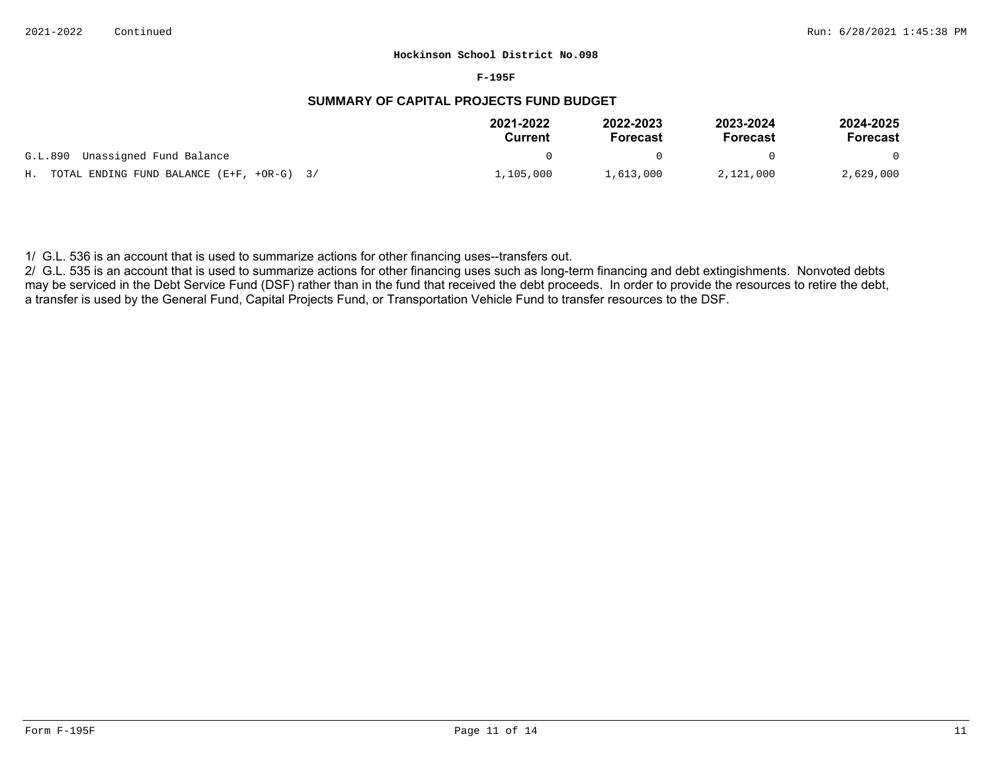#### **F-195F**

# **SUMMARY OF CAPITAL PROJECTS FUND BUDGET**

|                                                | 2021-2022<br>Current | 2022-2023<br><b>Forecast</b> | 2023-2024<br>Forecast | 2024-2025<br>Forecast |
|------------------------------------------------|----------------------|------------------------------|-----------------------|-----------------------|
| G.L.890 Unassigned Fund Balance                |                      | $\mathbf{u}$                 |                       | $\Omega$              |
| H. TOTAL ENDING FUND BALANCE $(E+F, +OR-G)$ 3/ | l,105,000            | 1,613,000                    | 2,121,000             | 2,629,000             |

1/ G.L. 536 is an account that is used to summarize actions for other financing uses--transfers out.

2/ G.L. 535 is an account that is used to summarize actions for other financing uses such as long-term financing and debt extingishments. Nonvoted debts may be serviced in the Debt Service Fund (DSF) rather than in the fund that received the debt proceeds. In order to provide the resources to retire the debt, a transfer is used by the General Fund, Capital Projects Fund, or Transportation Vehicle Fund to transfer resources to the DSF.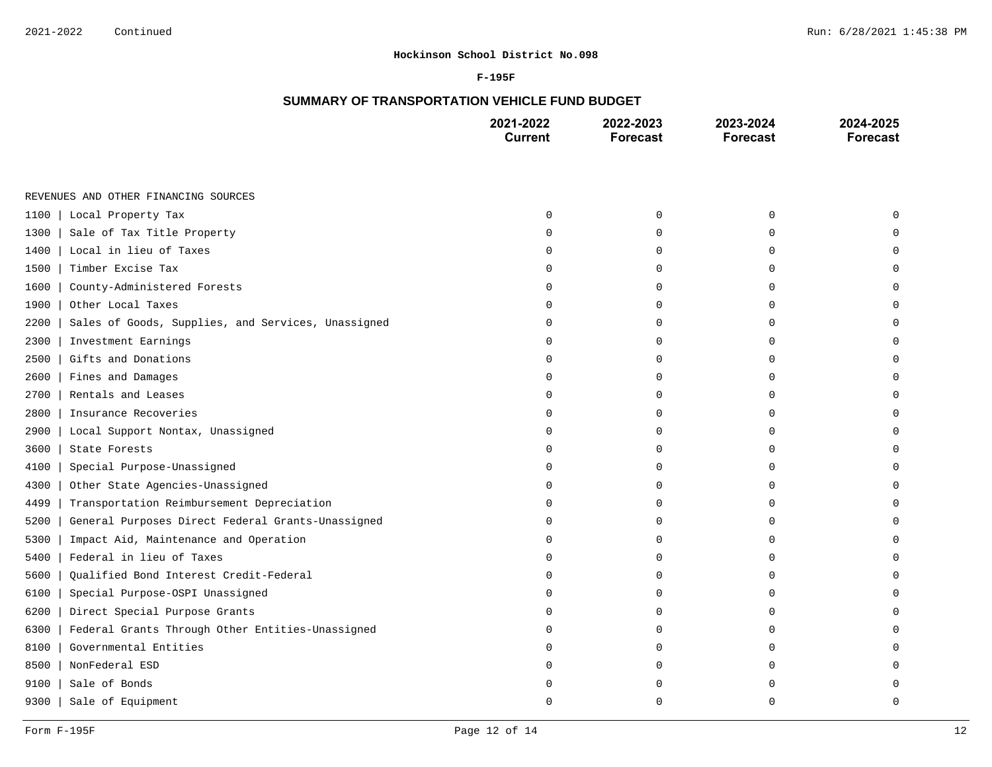### **F-195F**

# **SUMMARY OF TRANSPORTATION VEHICLE FUND BUDGET**

|      |                                                    | 2021-2022<br><b>Current</b> | 2022-2023<br><b>Forecast</b> | 2023-2024<br><b>Forecast</b> | 2024-2025<br><b>Forecast</b> |
|------|----------------------------------------------------|-----------------------------|------------------------------|------------------------------|------------------------------|
|      |                                                    |                             |                              |                              |                              |
|      | REVENUES AND OTHER FINANCING SOURCES               |                             |                              |                              |                              |
| 1100 | Local Property Tax                                 | $\Omega$                    | $\mathbf 0$                  | $\mathbf 0$                  | $\Omega$                     |
| 1300 | Sale of Tax Title Property                         |                             | $\mathbf 0$                  | $\Omega$                     | $\Omega$                     |
| 1400 | Local in lieu of Taxes                             |                             | $\mathbf 0$                  | $\Omega$                     | $\Omega$                     |
| 1500 | Timber Excise Tax                                  |                             | $\mathbf 0$                  | $\mathbf 0$                  | $\Omega$                     |
| 1600 | County-Administered Forests                        | $\cap$                      | $\mathbf 0$                  | $\Omega$                     | $\Omega$                     |
| 1900 | Other Local Taxes                                  |                             | $\mathbf 0$                  | $\mathbf 0$                  | $\Omega$                     |
| 2200 | Sales of Goods, Supplies, and Services, Unassigned | $\Omega$                    | 0                            | $\mathbf 0$                  | $\mathbf 0$                  |
| 2300 | Investment Earnings                                | $\Omega$                    | $\mathbf 0$                  | $\mathbf 0$                  | $\mathbf 0$                  |
| 2500 | Gifts and Donations                                | $\cap$                      | $\mathbf 0$                  | $\mathbf 0$                  | $\mathbf 0$                  |
| 2600 | Fines and Damages                                  |                             | 0                            | $\mathbf 0$                  | $\mathbf 0$                  |
| 2700 | Rentals and Leases                                 | ∩                           | $\mathbf 0$                  | $\Omega$                     | $\Omega$                     |
| 2800 | Insurance Recoveries                               | ∩                           | $\Omega$                     | $\Omega$                     | $\Omega$                     |
| 2900 | Local Support Nontax, Unassigned                   |                             | 0                            | $\Omega$                     | $\Omega$                     |
| 3600 | State Forests                                      | ∩                           | $\mathbf 0$                  | $\Omega$                     | $\Omega$                     |
| 4100 | Special Purpose-Unassigned                         | $\cap$                      | 0                            | $\mathbf 0$                  | $\Omega$                     |
| 4300 | Other State Agencies-Unassigned                    |                             | 0                            | $\Omega$                     | $\Omega$                     |
| 4499 | Transportation Reimbursement Depreciation          |                             | $\mathbf 0$                  | $\mathbf 0$                  | $\mathbf 0$                  |
| 5200 | General Purposes Direct Federal Grants-Unassigned  | $\Omega$                    | $\mathbf 0$                  | $\mathbf 0$                  | 0                            |
| 5300 | Impact Aid, Maintenance and Operation              | $\Omega$                    | $\mathbf 0$                  | $\Omega$                     | $\Omega$                     |
| 5400 | Federal in lieu of Taxes                           |                             | $\mathbf 0$                  | $\mathbf 0$                  | $\Omega$                     |
| 5600 | Qualified Bond Interest Credit-Federal             | ∩                           | 0                            | $\mathbf 0$                  | $\Omega$                     |
| 6100 | Special Purpose-OSPI Unassigned                    | ∩                           | 0                            | $\mathbf 0$                  | 0                            |
| 6200 | Direct Special Purpose Grants                      |                             | $\Omega$                     | $\Omega$                     | $\Omega$                     |
| 6300 | Federal Grants Through Other Entities-Unassigned   |                             | 0                            | $\Omega$                     | $\Omega$                     |
| 8100 | Governmental Entities                              | ∩                           | $\mathbf 0$                  | $\mathbf 0$                  | $\Omega$                     |
| 8500 | NonFederal ESD                                     |                             | $\mathbf 0$                  | $\Omega$                     | $\Omega$                     |
| 9100 | Sale of Bonds                                      |                             | $\mathbf 0$                  | $\Omega$                     | $\Omega$                     |
| 9300 | Sale of Equipment                                  |                             | $\Omega$                     | $\Omega$                     | $\Omega$                     |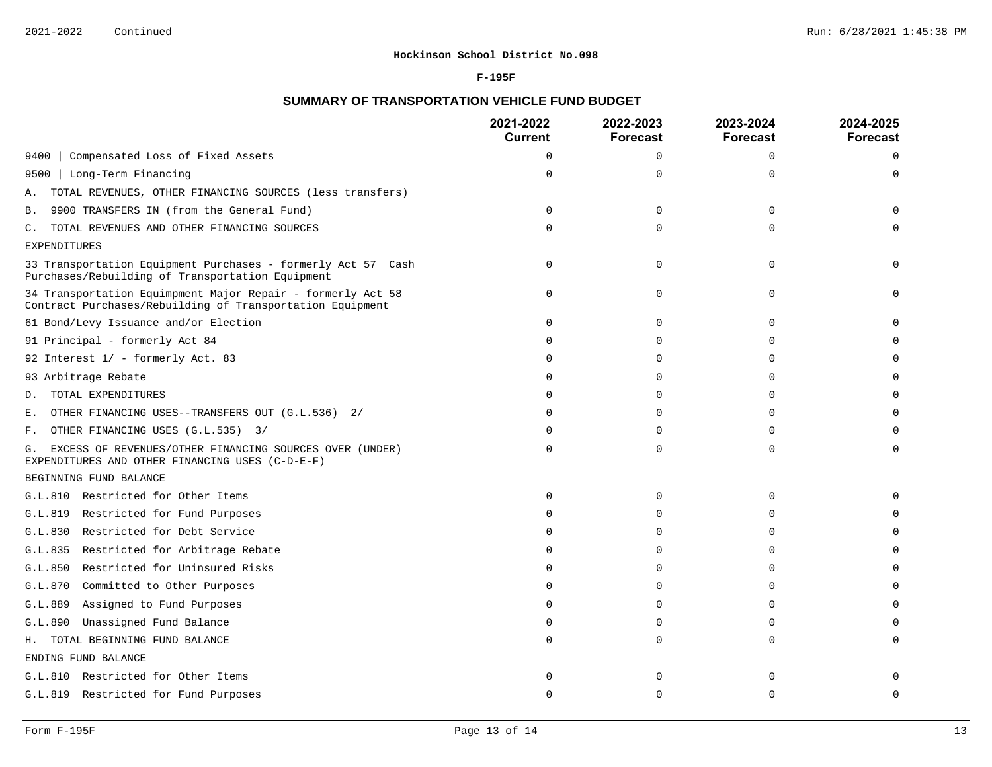#### **F-195F**

# **SUMMARY OF TRANSPORTATION VEHICLE FUND BUDGET**

|                                                                                                                          | 2021-2022<br><b>Current</b> | 2022-2023<br><b>Forecast</b> | 2023-2024<br><b>Forecast</b> | 2024-2025<br><b>Forecast</b> |
|--------------------------------------------------------------------------------------------------------------------------|-----------------------------|------------------------------|------------------------------|------------------------------|
| Compensated Loss of Fixed Assets<br>9400                                                                                 | $\Omega$                    | $\Omega$                     | $\Omega$                     | $\Omega$                     |
| Long-Term Financing<br>9500                                                                                              | $\cap$                      | $\Omega$                     | $\Omega$                     | $\Omega$                     |
| TOTAL REVENUES, OTHER FINANCING SOURCES (less transfers)<br>Α.                                                           |                             |                              |                              |                              |
| 9900 TRANSFERS IN (from the General Fund)<br>В.                                                                          | $\Omega$                    | $\Omega$                     | $\Omega$                     |                              |
| TOTAL REVENUES AND OTHER FINANCING SOURCES<br>С.                                                                         |                             | $\Omega$                     | $\mathbf{0}$                 |                              |
| <b>EXPENDITURES</b>                                                                                                      |                             |                              |                              |                              |
| 33 Transportation Equipment Purchases - formerly Act 57 Cash<br>Purchases/Rebuilding of Transportation Equipment         | $\Omega$                    | $\Omega$                     | $\Omega$                     | $\Omega$                     |
| 34 Transportation Equimpment Major Repair - formerly Act 58<br>Contract Purchases/Rebuilding of Transportation Equipment | $\Omega$                    | 0                            | $\Omega$                     | $\cap$                       |
| 61 Bond/Levy Issuance and/or Election                                                                                    |                             | $\Omega$                     | $\Omega$                     |                              |
| 91 Principal - formerly Act 84                                                                                           |                             | $\Omega$                     | $\Omega$                     |                              |
| 92 Interest 1/ - formerly Act. 83                                                                                        |                             | $\Omega$                     | $\Omega$                     | $\Omega$                     |
| 93 Arbitrage Rebate                                                                                                      |                             | $\Omega$                     | $\Omega$                     | $\Omega$                     |
| TOTAL EXPENDITURES<br>D.                                                                                                 |                             | $\Omega$                     | $\Omega$                     | $\Omega$                     |
| OTHER FINANCING USES--TRANSFERS OUT (G.L.536) 2/<br>Е.                                                                   |                             | 0                            | $\Omega$                     |                              |
| OTHER FINANCING USES (G.L.535) 3/<br>F.                                                                                  |                             | U                            | $\cap$                       |                              |
| EXCESS OF REVENUES/OTHER FINANCING SOURCES OVER (UNDER)<br>G.<br>EXPENDITURES AND OTHER FINANCING USES (C-D-E-F)         |                             | $\Omega$                     | $\Omega$                     | 0                            |
| BEGINNING FUND BALANCE                                                                                                   |                             |                              |                              |                              |
| G.L.810 Restricted for Other Items                                                                                       |                             | 0                            | $\mathbf 0$                  |                              |
| G.L.819<br>Restricted for Fund Purposes                                                                                  |                             | $\Omega$                     | $\Omega$                     |                              |
| Restricted for Debt Service<br>G.L.830                                                                                   |                             | $\Omega$                     | 0                            | 0                            |
| Restricted for Arbitrage Rebate<br>G.L.835                                                                               |                             | $\Omega$                     | $\Omega$                     | $\Omega$                     |
| Restricted for Uninsured Risks<br>G.L.850                                                                                |                             | U                            | $\cap$                       |                              |
| G.L.870 Committed to Other Purposes                                                                                      |                             | 0                            | $\Omega$                     | $\Omega$                     |
| G.L.889<br>Assigned to Fund Purposes                                                                                     |                             | $\Omega$                     | $\Omega$                     | 0                            |
| Unassigned Fund Balance<br>G.L.890                                                                                       |                             | $\Omega$                     | $\Omega$                     |                              |
| TOTAL BEGINNING FUND BALANCE<br>Н.                                                                                       |                             | $\Omega$                     | $\Omega$                     | $\Omega$                     |
| ENDING FUND BALANCE                                                                                                      |                             |                              |                              |                              |
| G.L.810 Restricted for Other Items                                                                                       |                             | 0                            | $\Omega$                     |                              |
| G.L.819 Restricted for Fund Purposes                                                                                     |                             | $\Omega$                     | $\Omega$                     | $\Omega$                     |